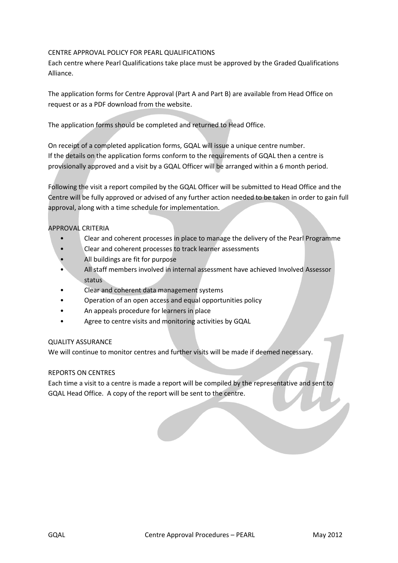# CENTRE APPROVAL POLICY FOR PEARL QUALIFICATIONS

Each centre where Pearl Qualifications take place must be approved by the Graded Qualifications Alliance.

The application forms for Centre Approval (Part A and Part B) are available from Head Office on request or as a PDF download from the website.

The application forms should be completed and returned to Head Office.

On receipt of a completed application forms, GQAL will issue a unique centre number. If the details on the application forms conform to the requirements of GQAL then a centre is provisionally approved and a visit by a GQAL Officer will be arranged within a 6 month period.

Following the visit a report compiled by the GQAL Officer will be submitted to Head Office and the Centre will be fully approved or advised of any further action needed to be taken in order to gain full approval, along with a time schedule for implementation.

# APPROVAL CRITERIA

- Clear and coherent processes in place to manage the delivery of the Pearl Programme
- Clear and coherent processes to track learner assessments
- All buildings are fit for purpose
- All staff members involved in internal assessment have achieved Involved Assessor status
- Clear and coherent data management systems
- Operation of an open access and equal opportunities policy
- An appeals procedure for learners in place
- Agree to centre visits and monitoring activities by GQAL

#### QUALITY ASSURANCE

We will continue to monitor centres and further visits will be made if deemed necessary.

#### REPORTS ON CENTRES

Each time a visit to a centre is made a report will be compiled by the representative and sent to GQAL Head Office. A copy of the report will be sent to the centre.